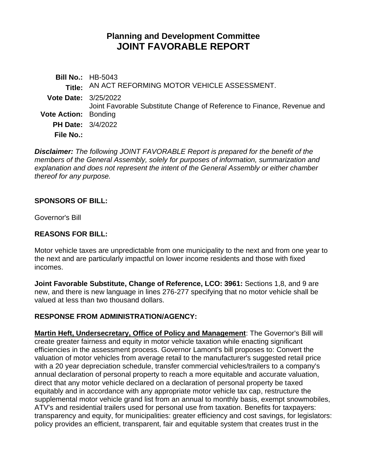# **Planning and Development Committee JOINT FAVORABLE REPORT**

**Bill No.:** HB-5043 **Title:** AN ACT REFORMING MOTOR VEHICLE ASSESSMENT. **Vote Date:** 3/25/2022 **Vote Action:** Bonding Joint Favorable Substitute Change of Reference to Finance, Revenue and **PH Date:** 3/4/2022 **File No.:**

*Disclaimer: The following JOINT FAVORABLE Report is prepared for the benefit of the members of the General Assembly, solely for purposes of information, summarization and explanation and does not represent the intent of the General Assembly or either chamber thereof for any purpose.*

### **SPONSORS OF BILL:**

Governor's Bill

### **REASONS FOR BILL:**

Motor vehicle taxes are unpredictable from one municipality to the next and from one year to the next and are particularly impactful on lower income residents and those with fixed incomes.

**Joint Favorable Substitute, Change of Reference, LCO: 3961:** Sections 1,8, and 9 are new, and there is new language in lines 276-277 specifying that no motor vehicle shall be valued at less than two thousand dollars.

### **RESPONSE FROM ADMINISTRATION/AGENCY:**

**Martin Heft, Undersecretary, Office of Policy and Management**: The Governor's Bill will create greater fairness and equity in motor vehicle taxation while enacting significant efficiencies in the assessment process. Governor Lamont's bill proposes to: Convert the valuation of motor vehicles from average retail to the manufacturer's suggested retail price with a 20 year depreciation schedule, transfer commercial vehicles/trailers to a company's annual declaration of personal property to reach a more equitable and accurate valuation, direct that any motor vehicle declared on a declaration of personal property be taxed equitably and in accordance with any appropriate motor vehicle tax cap, restructure the supplemental motor vehicle grand list from an annual to monthly basis, exempt snowmobiles, ATV's and residential trailers used for personal use from taxation. Benefits for taxpayers: transparency and equity, for municipalities: greater efficiency and cost savings, for legislators: policy provides an efficient, transparent, fair and equitable system that creates trust in the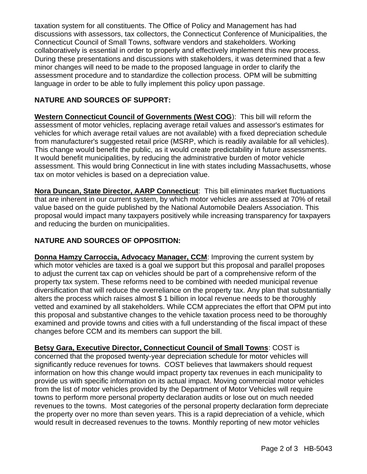taxation system for all constituents. The Office of Policy and Management has had discussions with assessors, tax collectors, the Connecticut Conference of Municipalities, the Connecticut Council of Small Towns, software vendors and stakeholders. Working collaboratively is essential in order to properly and effectively implement this new process. During these presentations and discussions with stakeholders, it was determined that a few minor changes will need to be made to the proposed language in order to clarify the assessment procedure and to standardize the collection process. OPM will be submitting language in order to be able to fully implement this policy upon passage.

## **NATURE AND SOURCES OF SUPPORT:**

**Western Connecticut Council of Governments (West COG**): This bill will reform the assessment of motor vehicles, replacing average retail values and assessor's estimates for vehicles for which average retail values are not available) with a fixed depreciation schedule from manufacturer's suggested retail price (MSRP, which is readily available for all vehicles). This change would benefit the public, as it would create predictability in future assessments. It would benefit municipalities, by reducing the administrative burden of motor vehicle assessment. This would bring Connecticut in line with states including Massachusetts, whose tax on motor vehicles is based on a depreciation value.

**Nora Duncan, State Director, AARP Connecticut**: This bill eliminates market fluctuations that are inherent in our current system, by which motor vehicles are assessed at 70% of retail value based on the guide published by the National Automobile Dealers Association. This proposal would impact many taxpayers positively while increasing transparency for taxpayers and reducing the burden on municipalities.

### **NATURE AND SOURCES OF OPPOSITION:**

**Donna Hamzy Carroccia, Advocacy Manager, CCM**: Improving the current system by which motor vehicles are taxed is a goal we support but this proposal and parallel proposes to adjust the current tax cap on vehicles should be part of a comprehensive reform of the property tax system. These reforms need to be combined with needed municipal revenue diversification that will reduce the overreliance on the property tax. Any plan that substantially alters the process which raises almost \$ 1 billion in local revenue needs to be thoroughly vetted and examined by all stakeholders. While CCM appreciates the effort that OPM put into this proposal and substantive changes to the vehicle taxation process need to be thoroughly examined and provide towns and cities with a full understanding of the fiscal impact of these changes before CCM and its members can support the bill.

**Betsy Gara, Executive Director, Connecticut Council of Small Towns**: COST is concerned that the proposed twenty-year depreciation schedule for motor vehicles will significantly reduce revenues for towns. COST believes that lawmakers should request information on how this change would impact property tax revenues in each municipality to provide us with specific information on its actual impact. Moving commercial motor vehicles from the list of motor vehicles provided by the Department of Motor Vehicles will require towns to perform more personal property declaration audits or lose out on much needed revenues to the towns. Most categories of the personal property declaration form depreciate the property over no more than seven years. This is a rapid depreciation of a vehicle, which would result in decreased revenues to the towns. Monthly reporting of new motor vehicles